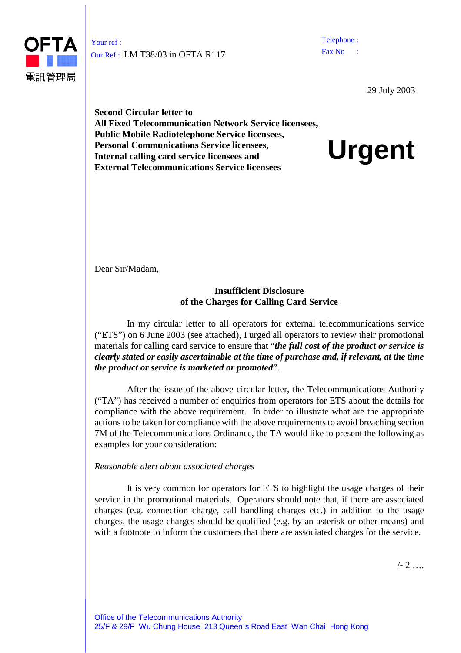

Your ref : Our Ref : LM T38/03 in OFTA R117 Telephone : Fax No

29 July 2003

**Second Circular letter to All Fixed Telecommunication Network Service licensees, Public Mobile Radiotelephone Service licensees, Personal Communications Service licensees, Internal calling card service licensees and External Telecommunications Service licensees**

**Urgent**

Dear Sir/Madam,

## **Insufficient Disclosure of the Charges for Calling Card Service**

In my circular letter to all operators for external telecommunications service ("ETS") on 6 June 2003 (see attached), I urged all operators to review their promotional materials for calling card service to ensure that "*the full cost of the product or service is clearly stated or easily ascertainable at the time of purchase and, if relevant, at the time the product or service is marketed or promoted*".

After the issue of the above circular letter, the Telecommunications Authority ("TA") has received a number of enquiries from operators for ETS about the details for compliance with the above requirement. In order to illustrate what are the appropriate actions to be taken for compliance with the above requirements to avoid breaching section 7M of the Telecommunications Ordinance, the TA would like to present the following as examples for your consideration:

## *Reasonable alert about associated charges*

It is very common for operators for ETS to highlight the usage charges of their service in the promotional materials. Operators should note that, if there are associated charges (e.g. connection charge, call handling charges etc.) in addition to the usage charges, the usage charges should be qualified (e.g. by an asterisk or other means) and with a footnote to inform the customers that there are associated charges for the service.

 $1 - 2$  …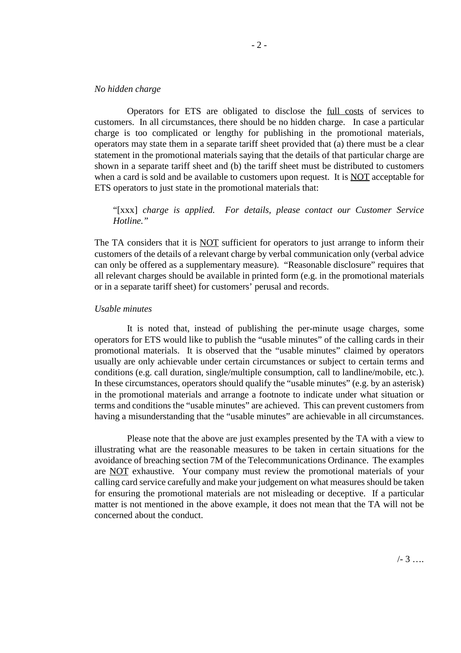## *No hidden charge*

Operators for ETS are obligated to disclose the full costs of services to customers. In all circumstances, there should be no hidden charge. In case a particular charge is too complicated or lengthy for publishing in the promotional materials, operators may state them in a separate tariff sheet provided that (a) there must be a clear statement in the promotional materials saying that the details of that particular charge are shown in a separate tariff sheet and (b) the tariff sheet must be distributed to customers when a card is sold and be available to customers upon request. It is NOT acceptable for ETS operators to just state in the promotional materials that:

"[xxx] *charge is applied. For details, please contact our Customer Service Hotline."*

The TA considers that it is NOT sufficient for operators to just arrange to inform their customers of the details of a relevant charge by verbal communication only (verbal advice can only be offered as a supplementary measure). "Reasonable disclosure" requires that all relevant charges should be available in printed form (e.g. in the promotional materials or in a separate tariff sheet) for customers' perusal and records.

## *Usable minutes*

It is noted that, instead of publishing the per-minute usage charges, some operators for ETS would like to publish the "usable minutes" of the calling cards in their promotional materials. It is observed that the "usable minutes" claimed by operators usually are only achievable under certain circumstances or subject to certain terms and conditions (e.g. call duration, single/multiple consumption, call to landline/mobile, etc.). In these circumstances, operators should qualify the "usable minutes" (e.g. by an asterisk) in the promotional materials and arrange a footnote to indicate under what situation or terms and conditions the "usable minutes" are achieved. This can prevent customers from having a misunderstanding that the "usable minutes" are achievable in all circumstances.

Please note that the above are just examples presented by the TA with a view to illustrating what are the reasonable measures to be taken in certain situations for the avoidance of breaching section 7M of the Telecommunications Ordinance. The examples are NOT exhaustive. Your company must review the promotional materials of your calling card service carefully and make your judgement on what measures should be taken for ensuring the promotional materials are not misleading or deceptive. If a particular matter is not mentioned in the above example, it does not mean that the TA will not be concerned about the conduct.

 $/ - 3$  …